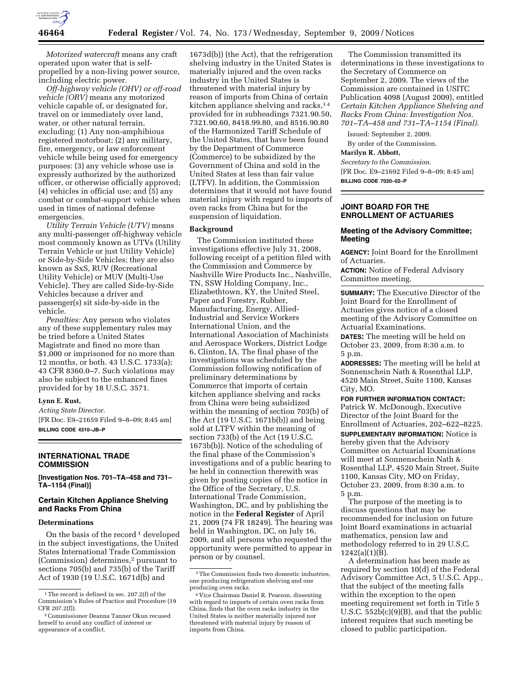

*Motorized watercraft* means any craft operated upon water that is selfpropelled by a non-living power source, including electric power.

*Off-highway vehicle (OHV) or off-road vehicle (ORV)* means any motorized vehicle capable of, or designated for, travel on or immediately over land, water, or other natural terrain, excluding: (1) Any non-amphibious registered motorboat; (2) any military, fire, emergency, or law enforcement vehicle while being used for emergency purposes: (3) any vehicle whose use is expressly authorized by the authorized officer, or otherwise officially approved;  $(4)$  vehicles in official use; and  $(5)$  any combat or combat-support vehicle when used in times of national defense emergencies.

*Utility Terrain Vehicle (UTV)* means any multi-passenger off-highway vehicle most commonly known as UTVs (Utility Terrain Vehicle or just Utility Vehicle) or Side-by-Side Vehicles; they are also known as SxS, RUV (Recreational Utility Vehicle) or MUV (Multi-Use Vehicle). They are called Side-by-Side Vehicles because a driver and passenger(s) sit side-by-side in the vehicle.

*Penalties:* Any person who violates any of these supplementary rules may be tried before a United States Magistrate and fined no more than \$1,000 or imprisoned for no more than 12 months, or both. 43 U.S.C. 1733(a); 43 CFR 8360.0–7. Such violations may also be subject to the enhanced fines provided for by 18 U.S.C. 3571.

#### **Lynn E. Rust,**

*Acting State Director.*  [FR Doc. E9–21659 Filed 9–8–09; 8:45 am] **BILLING CODE 4310–JB–P** 

# **INTERNATIONAL TRADE COMMISSION**

**[Investigation Nos. 701–TA–458 and 731– TA–1154 (Final)]** 

# **Certain Kitchen Appliance Shelving and Racks From China**

#### **Determinations**

On the basis of the record<sup>1</sup> developed in the subject investigations, the United States International Trade Commission (Commission) determines,2 pursuant to sections 705(b) and 735(b) of the Tariff Act of 1930 (19 U.S.C. 1671d(b) and

1673d(b)) (the Act), that the refrigeration shelving industry in the United States is materially injured and the oven racks industry in the United States is threatened with material injury by reason of imports from China of certain kitchen appliance shelving and racks, 34 provided for in subheadings 7321.90.50, 7321.90.60, 8418.99.80, and 8516.90.80 of the Harmonized Tariff Schedule of the United States, that have been found by the Department of Commerce (Commerce) to be subsidized by the Government of China and sold in the United States at less than fair value (LTFV). In addition, the Commission determines that it would not have found material injury with regard to imports of oven racks from China but for the suspension of liquidation.

#### **Background**

The Commission instituted these investigations effective July 31, 2008, following receipt of a petition filed with the Commission and Commerce by Nashville Wire Products Inc., Nashville, TN, SSW Holding Company, Inc., Elizabethtown, KY, the United Steel, Paper and Forestry, Rubber, Manufacturing, Energy, Allied-Industrial and Service Workers International Union, and the International Association of Machinists and Aerospace Workers, District Lodge 6, Clinton, IA. The final phase of the investigations was scheduled by the Commission following notification of preliminary determinations by Commerce that imports of certain kitchen appliance shelving and racks from China were being subsidized within the meaning of section 703(b) of the Act (19 U.S.C. 1671b(b)) and being sold at LTFV within the meaning of section 733(b) of the Act (19 U.S.C. 1673b(b)). Notice of the scheduling of the final phase of the Commission's investigations and of a public hearing to be held in connection therewith was given by posting copies of the notice in the Office of the Secretary, U.S. International Trade Commission, Washington, DC, and by publishing the notice in the **Federal Register** of April 21, 2009 (74 FR 18249). The hearing was held in Washington, DC, on July 16, 2009, and all persons who requested the opportunity were permitted to appear in person or by counsel.

The Commission transmitted its determinations in these investigations to the Secretary of Commerce on September 2, 2009. The views of the Commission are contained in USITC Publication 4098 (August 2009), entitled *Certain Kitchen Appliance Shelving and Racks From China: Investigation Nos. 701–TA–458 and 731–TA–1154 (Final).* 

Issued: September 2, 2009. By order of the Commission.

**Marilyn R. Abbott,** 

*Secretary to the Commission.*  [FR Doc. E9–21692 Filed 9–8–09; 8:45 am]

**BILLING CODE 7020–02–P** 

### **JOINT BOARD FOR THE ENROLLMENT OF ACTUARIES**

# **Meeting of the Advisory Committee; Meeting**

**AGENCY:** Joint Board for the Enrollment of Actuaries.

**ACTION:** Notice of Federal Advisory Committee meeting.

**SUMMARY:** The Executive Director of the Joint Board for the Enrollment of Actuaries gives notice of a closed meeting of the Advisory Committee on Actuarial Examinations. **DATES:** The meeting will be held on October 23, 2009, from 8:30 a.m. to 5 p.m.

**ADDRESSES:** The meeting will be held at Sonnenschein Nath & Rosenthal LLP, 4520 Main Street, Suite 1100, Kansas City, MO.

**FOR FURTHER INFORMATION CONTACT:**  Patrick W. McDonough, Executive Director of the Joint Board for the Enrollment of Actuaries, 202–622–8225. **SUPPLEMENTARY INFORMATION:** Notice is hereby given that the Advisory Committee on Actuarial Examinations will meet at Sonnenschein Nath & Rosenthal LLP, 4520 Main Street, Suite 1100, Kansas City, MO on Friday, October 23, 2009, from 8:30 a.m. to 5 p.m.

The purpose of the meeting is to discuss questions that may be recommended for inclusion on future Joint Board examinations in actuarial mathematics, pension law and methodology referred to in 29 U.S.C. 1242(a)(1)(B).

A determination has been made as required by section 10(d) of the Federal Advisory Committee Act, 5 U.S.C. App., that the subject of the meeting falls within the exception to the open meeting requirement set forth in Title 5 U.S.C.  $552\overline{b}(c)(9)(B)$ , and that the public interest requires that such meeting be closed to public participation.

<sup>&</sup>lt;sup>1</sup>The record is defined in sec. 207.2(f) of the Commission's Rules of Practice and Procedure (19 CFR 207.2(f)).

<sup>2</sup>Commissioner Deanna Tanner Okun recused herself to avoid any conflict of interest or appearance of a conflict.

<sup>3</sup>The Commission finds two domestic industries, one producing refrigeration shelving and one producing oven racks.

<sup>4</sup> Vice Chairman Daniel R. Pearson, dissenting with regard to imports of certain oven racks from China, finds that the oven racks industry in the United States is neither materially injured nor threatened with material injury by reason of imports from China.